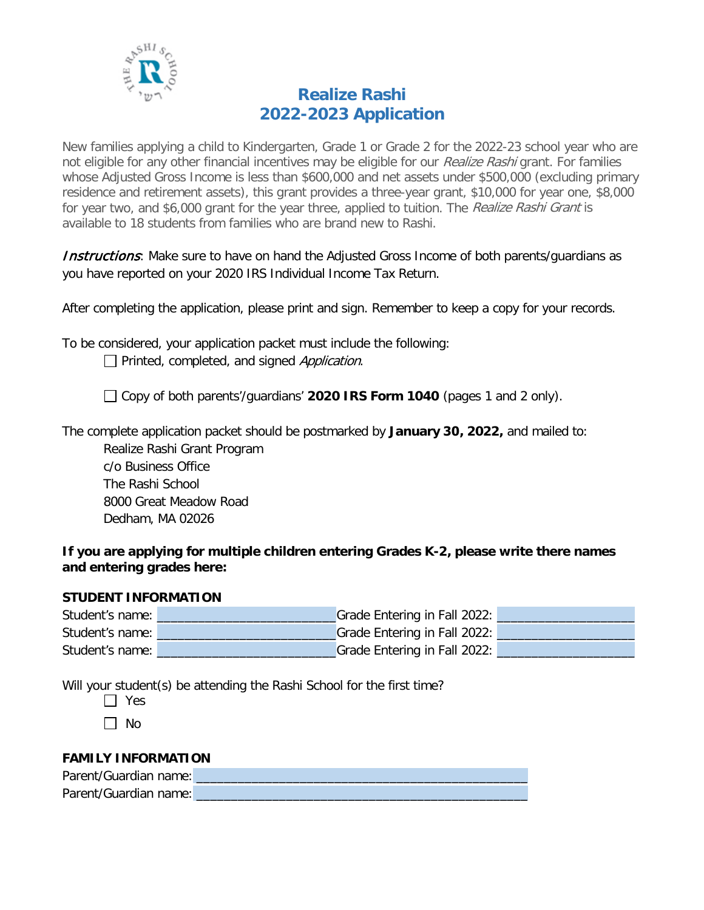

# **Realize Rashi 2022-2023 Application**

New families applying a child to Kindergarten, Grade 1 or Grade 2 for the 2022-23 school year who are not eligible for any other financial incentives may be eligible for our Realize Rashi grant. For families whose Adjusted Gross Income is less than \$600,000 and net assets under \$500,000 (excluding primary residence and retirement assets), this grant provides a three-year grant, \$10,000 for year one, \$8,000 for year two, and \$6,000 grant for the year three, applied to tuition. The Realize Rashi Grant is available to 18 students from families who are brand new to Rashi.

**Instructions**: Make sure to have on hand the Adjusted Gross Income of both parents/guardians as you have reported on your 2020 IRS Individual Income Tax Return.

After completing the application, please print and sign. Remember to keep a copy for your records.

To be considered, your application packet must include the following:  $\Box$  Printed, completed, and signed Application.

Copy of both parents'/guardians' **2020 IRS Form 1040** (pages 1 and 2 only).

The complete application packet should be postmarked by **January 30, 2022,** and mailed to:

Realize Rashi Grant Program c/o Business Office The Rashi School 8000 Great Meadow Road Dedham, MA 02026

#### **If you are applying for multiple children entering Grades K-2, please write there names and entering grades here:**

## **STUDENT INFORMATION**

| Student's name: | Grade Entering in Fall 2022: |
|-----------------|------------------------------|
| Student's name: | Grade Entering in Fall 2022: |
| Student's name: | Grade Entering in Fall 2022: |

Will your student(s) be attending the Rashi School for the first time?

 $\Box$  Yes

 $\Box$  No

## **FAMILY INFORMATION**

| Parent/Guardian name: |  |
|-----------------------|--|
| Parent/Guardian name: |  |